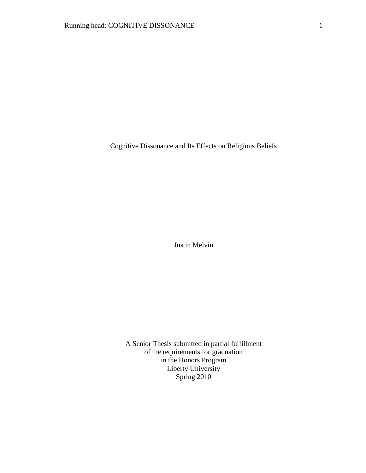Cognitive Dissonance and Its Effects on Religious Beliefs

Justin Melvin

A Senior Thesis submitted in partial fulfillment of the requirements for graduation in the Honors Program Liberty University Spring 2010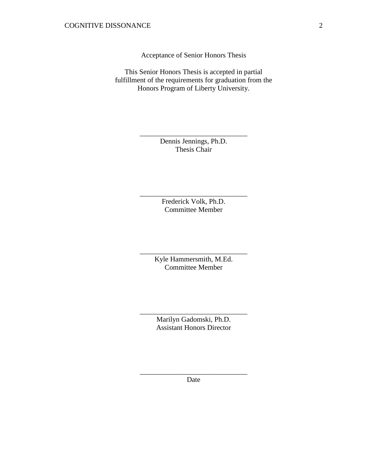Acceptance of Senior Honors Thesis

This Senior Honors Thesis is accepted in partial fulfillment of the requirements for graduation from the Honors Program of Liberty University.

> Dennis Jennings, Ph.D. Thesis Chair

\_\_\_\_\_\_\_\_\_\_\_\_\_\_\_\_\_\_\_\_\_\_\_\_\_\_\_\_\_\_

Frederick Volk, Ph.D. Committee Member

\_\_\_\_\_\_\_\_\_\_\_\_\_\_\_\_\_\_\_\_\_\_\_\_\_\_\_\_\_\_

Kyle Hammersmith, M.Ed. Committee Member

\_\_\_\_\_\_\_\_\_\_\_\_\_\_\_\_\_\_\_\_\_\_\_\_\_\_\_\_\_\_

Marilyn Gadomski, Ph.D. Assistant Honors Director

\_\_\_\_\_\_\_\_\_\_\_\_\_\_\_\_\_\_\_\_\_\_\_\_\_\_\_\_\_\_

\_\_\_\_\_\_\_\_\_\_\_\_\_\_\_\_\_\_\_\_\_\_\_\_\_\_\_\_\_\_ Date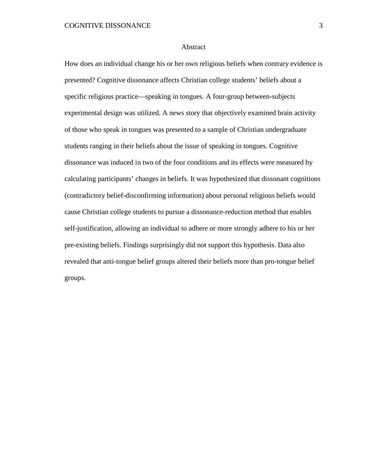#### Abstract

How does an individual change his or her own religious beliefs when contrary evidence is presented? Cognitive dissonance affects Christian college students' beliefs about a specific religious practice—speaking in tongues. A four-group between-subjects experimental design was utilized. A news story that objectively examined brain activity of those who speak in tongues was presented to a sample of Christian undergraduate students ranging in their beliefs about the issue of speaking in tongues. Cognitive dissonance was induced in two of the four conditions and its effects were measured by calculating participants' changes in beliefs. It was hypothesized that dissonant cognitions (contradictory belief-disconfirming information) about personal religious beliefs would cause Christian college students to pursue a dissonance-reduction method that enables self-justification, allowing an individual to adhere or more strongly adhere to his or her pre-existing beliefs. Findings surprisingly did not support this hypothesis. Data also revealed that anti-tongue belief groups altered their beliefs more than pro-tongue belief groups.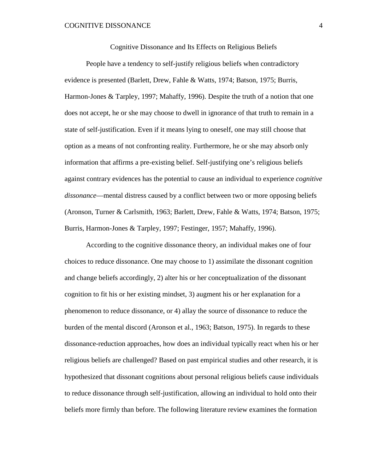Cognitive Dissonance and Its Effects on Religious Beliefs

People have a tendency to self-justify religious beliefs when contradictory evidence is presented (Barlett, Drew, Fahle & Watts, 1974; Batson, 1975; Burris, Harmon-Jones & Tarpley, 1997; Mahaffy, 1996). Despite the truth of a notion that one does not accept, he or she may choose to dwell in ignorance of that truth to remain in a state of self-justification. Even if it means lying to oneself, one may still choose that option as a means of not confronting reality. Furthermore, he or she may absorb only information that affirms a pre-existing belief. Self-justifying one's religious beliefs against contrary evidences has the potential to cause an individual to experience *cognitive dissonance*—mental distress caused by a conflict between two or more opposing beliefs (Aronson, Turner & Carlsmith, 1963; Barlett, Drew, Fahle & Watts, 1974; Batson, 1975; Burris, Harmon-Jones & Tarpley, 1997; Festinger, 1957; Mahaffy, 1996).

According to the cognitive dissonance theory, an individual makes one of four choices to reduce dissonance. One may choose to 1) assimilate the dissonant cognition and change beliefs accordingly, 2) alter his or her conceptualization of the dissonant cognition to fit his or her existing mindset, 3) augment his or her explanation for a phenomenon to reduce dissonance, or 4) allay the source of dissonance to reduce the burden of the mental discord (Aronson et al., 1963; Batson, 1975). In regards to these dissonance-reduction approaches, how does an individual typically react when his or her religious beliefs are challenged? Based on past empirical studies and other research, it is hypothesized that dissonant cognitions about personal religious beliefs cause individuals to reduce dissonance through self-justification, allowing an individual to hold onto their beliefs more firmly than before. The following literature review examines the formation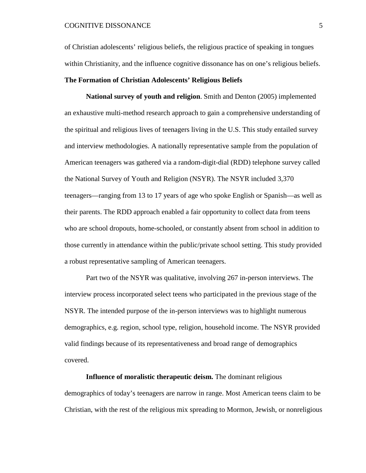of Christian adolescents' religious beliefs, the religious practice of speaking in tongues within Christianity, and the influence cognitive dissonance has on one's religious beliefs.

#### **The Formation of Christian Adolescents' Religious Beliefs**

**National survey of youth and religion**. Smith and Denton (2005) implemented an exhaustive multi-method research approach to gain a comprehensive understanding of the spiritual and religious lives of teenagers living in the U.S. This study entailed survey and interview methodologies. A nationally representative sample from the population of American teenagers was gathered via a random-digit-dial (RDD) telephone survey called the National Survey of Youth and Religion (NSYR). The NSYR included 3,370 teenagers—ranging from 13 to 17 years of age who spoke English or Spanish—as well as their parents. The RDD approach enabled a fair opportunity to collect data from teens who are school dropouts, home-schooled, or constantly absent from school in addition to those currently in attendance within the public/private school setting. This study provided a robust representative sampling of American teenagers.

Part two of the NSYR was qualitative, involving 267 in-person interviews. The interview process incorporated select teens who participated in the previous stage of the NSYR. The intended purpose of the in-person interviews was to highlight numerous demographics, e.g. region, school type, religion, household income. The NSYR provided valid findings because of its representativeness and broad range of demographics covered.

# **Influence of moralistic therapeutic deism.** The dominant religious demographics of today's teenagers are narrow in range. Most American teens claim to be Christian, with the rest of the religious mix spreading to Mormon, Jewish, or nonreligious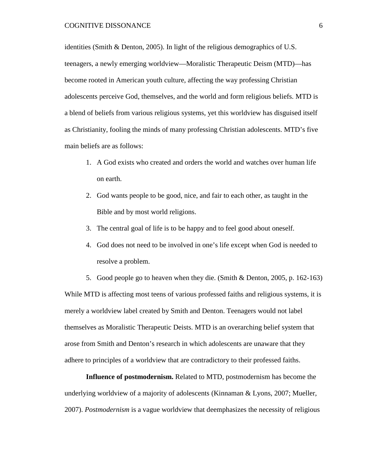identities (Smith & Denton, 2005). In light of the religious demographics of U.S. teenagers, a newly emerging worldview—Moralistic Therapeutic Deism (MTD)—has become rooted in American youth culture, affecting the way professing Christian adolescents perceive God, themselves, and the world and form religious beliefs. MTD is a blend of beliefs from various religious systems, yet this worldview has disguised itself as Christianity, fooling the minds of many professing Christian adolescents. MTD's five main beliefs are as follows:

- 1. A God exists who created and orders the world and watches over human life on earth.
- 2. God wants people to be good, nice, and fair to each other, as taught in the Bible and by most world religions.
- 3. The central goal of life is to be happy and to feel good about oneself.
- 4. God does not need to be involved in one's life except when God is needed to resolve a problem.

5. Good people go to heaven when they die. (Smith & Denton, 2005, p. 162-163) While MTD is affecting most teens of various professed faiths and religious systems, it is merely a worldview label created by Smith and Denton. Teenagers would not label themselves as Moralistic Therapeutic Deists. MTD is an overarching belief system that arose from Smith and Denton's research in which adolescents are unaware that they adhere to principles of a worldview that are contradictory to their professed faiths.

**Influence of postmodernism.** Related to MTD, postmodernism has become the underlying worldview of a majority of adolescents (Kinnaman & Lyons, 2007; Mueller, 2007). *Postmodernism* is a vague worldview that deemphasizes the necessity of religious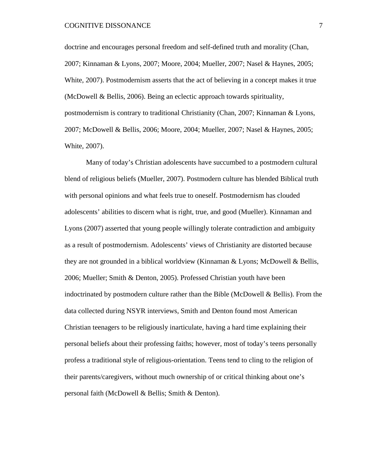doctrine and encourages personal freedom and self-defined truth and morality (Chan, 2007; Kinnaman & Lyons, 2007; Moore, 2004; Mueller, 2007; Nasel & Haynes, 2005; White, 2007). Postmodernism asserts that the act of believing in a concept makes it true (McDowell & Bellis, 2006). Being an eclectic approach towards spirituality, postmodernism is contrary to traditional Christianity (Chan, 2007; Kinnaman & Lyons, 2007; McDowell & Bellis, 2006; Moore, 2004; Mueller, 2007; Nasel & Haynes, 2005; White, 2007).

Many of today's Christian adolescents have succumbed to a postmodern cultural blend of religious beliefs (Mueller, 2007). Postmodern culture has blended Biblical truth with personal opinions and what feels true to oneself. Postmodernism has clouded adolescents' abilities to discern what is right, true, and good (Mueller). Kinnaman and Lyons (2007) asserted that young people willingly tolerate contradiction and ambiguity as a result of postmodernism. Adolescents' views of Christianity are distorted because they are not grounded in a biblical worldview (Kinnaman & Lyons; McDowell & Bellis, 2006; Mueller; Smith & Denton, 2005). Professed Christian youth have been indoctrinated by postmodern culture rather than the Bible (McDowell & Bellis). From the data collected during NSYR interviews, Smith and Denton found most American Christian teenagers to be religiously inarticulate, having a hard time explaining their personal beliefs about their professing faiths; however, most of today's teens personally profess a traditional style of religious-orientation. Teens tend to cling to the religion of their parents/caregivers, without much ownership of or critical thinking about one's personal faith (McDowell & Bellis; Smith & Denton).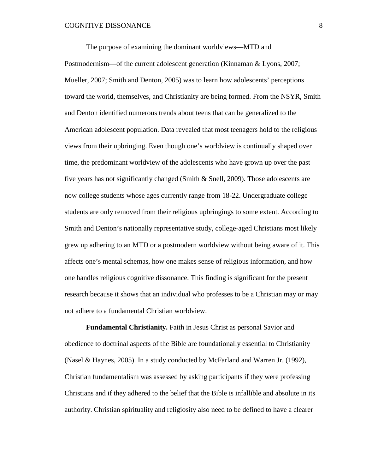The purpose of examining the dominant worldviews—MTD and Postmodernism—of the current adolescent generation (Kinnaman & Lyons, 2007; Mueller, 2007; Smith and Denton, 2005) was to learn how adolescents' perceptions toward the world, themselves, and Christianity are being formed. From the NSYR, Smith and Denton identified numerous trends about teens that can be generalized to the American adolescent population. Data revealed that most teenagers hold to the religious views from their upbringing. Even though one's worldview is continually shaped over time, the predominant worldview of the adolescents who have grown up over the past five years has not significantly changed (Smith & Snell, 2009). Those adolescents are now college students whose ages currently range from 18-22. Undergraduate college students are only removed from their religious upbringings to some extent. According to Smith and Denton's nationally representative study, college-aged Christians most likely grew up adhering to an MTD or a postmodern worldview without being aware of it. This affects one's mental schemas, how one makes sense of religious information, and how one handles religious cognitive dissonance. This finding is significant for the present research because it shows that an individual who professes to be a Christian may or may not adhere to a fundamental Christian worldview.

**Fundamental Christianity.** Faith in Jesus Christ as personal Savior and obedience to doctrinal aspects of the Bible are foundationally essential to Christianity (Nasel & Haynes, 2005). In a study conducted by McFarland and Warren Jr. (1992), Christian fundamentalism was assessed by asking participants if they were professing Christians and if they adhered to the belief that the Bible is infallible and absolute in its authority. Christian spirituality and religiosity also need to be defined to have a clearer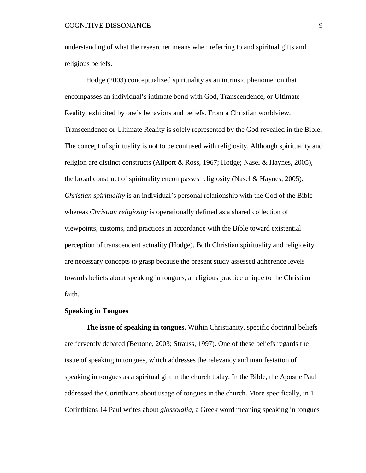understanding of what the researcher means when referring to and spiritual gifts and religious beliefs.

Hodge (2003) conceptualized spirituality as an intrinsic phenomenon that encompasses an individual's intimate bond with God, Transcendence, or Ultimate Reality, exhibited by one's behaviors and beliefs. From a Christian worldview, Transcendence or Ultimate Reality is solely represented by the God revealed in the Bible. The concept of spirituality is not to be confused with religiosity. Although spirituality and religion are distinct constructs (Allport & Ross, 1967; Hodge; Nasel & Haynes, 2005), the broad construct of spirituality encompasses religiosity (Nasel & Haynes, 2005). *Christian spirituality* is an individual's personal relationship with the God of the Bible whereas *Christian religiosity* is operationally defined as a shared collection of viewpoints, customs, and practices in accordance with the Bible toward existential perception of transcendent actuality (Hodge). Both Christian spirituality and religiosity are necessary concepts to grasp because the present study assessed adherence levels towards beliefs about speaking in tongues, a religious practice unique to the Christian faith.

#### **Speaking in Tongues**

**The issue of speaking in tongues.** Within Christianity, specific doctrinal beliefs are fervently debated (Bertone, 2003; Strauss, 1997). One of these beliefs regards the issue of speaking in tongues, which addresses the relevancy and manifestation of speaking in tongues as a spiritual gift in the church today. In the Bible, the Apostle Paul addressed the Corinthians about usage of tongues in the church. More specifically, in 1 Corinthians 14 Paul writes about *glossolalia*, a Greek word meaning speaking in tongues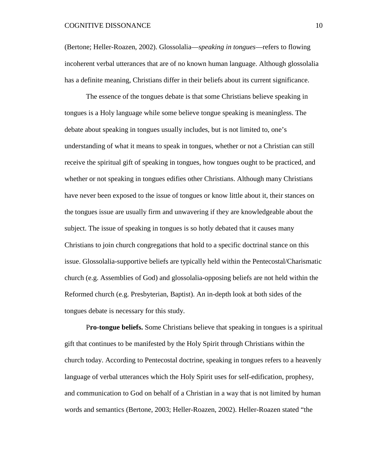(Bertone; Heller-Roazen, 2002). Glossolalia—*speaking in tongues*—refers to flowing incoherent verbal utterances that are of no known human language. Although glossolalia has a definite meaning, Christians differ in their beliefs about its current significance.

The essence of the tongues debate is that some Christians believe speaking in tongues is a Holy language while some believe tongue speaking is meaningless. The debate about speaking in tongues usually includes, but is not limited to, one's understanding of what it means to speak in tongues, whether or not a Christian can still receive the spiritual gift of speaking in tongues, how tongues ought to be practiced, and whether or not speaking in tongues edifies other Christians. Although many Christians have never been exposed to the issue of tongues or know little about it, their stances on the tongues issue are usually firm and unwavering if they are knowledgeable about the subject. The issue of speaking in tongues is so hotly debated that it causes many Christians to join church congregations that hold to a specific doctrinal stance on this issue. Glossolalia-supportive beliefs are typically held within the Pentecostal/Charismatic church (e.g. Assemblies of God) and glossolalia-opposing beliefs are not held within the Reformed church (e.g. Presbyterian, Baptist). An in-depth look at both sides of the tongues debate is necessary for this study.

P**ro-tongue beliefs.** Some Christians believe that speaking in tongues is a spiritual gift that continues to be manifested by the Holy Spirit through Christians within the church today. According to Pentecostal doctrine, speaking in tongues refers to a heavenly language of verbal utterances which the Holy Spirit uses for self-edification, prophesy, and communication to God on behalf of a Christian in a way that is not limited by human words and semantics (Bertone, 2003; Heller-Roazen, 2002). Heller-Roazen stated "the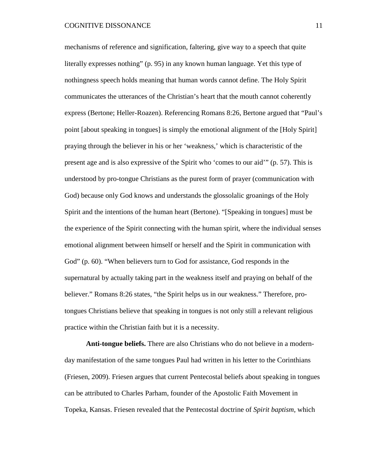mechanisms of reference and signification, faltering, give way to a speech that quite literally expresses nothing" (p. 95) in any known human language. Yet this type of nothingness speech holds meaning that human words cannot define. The Holy Spirit communicates the utterances of the Christian's heart that the mouth cannot coherently express (Bertone; Heller-Roazen). Referencing Romans 8:26, Bertone argued that "Paul's point [about speaking in tongues] is simply the emotional alignment of the [Holy Spirit] praying through the believer in his or her 'weakness,' which is characteristic of the present age and is also expressive of the Spirit who 'comes to our aid'" (p. 57). This is understood by pro-tongue Christians as the purest form of prayer (communication with God) because only God knows and understands the glossolalic groanings of the Holy Spirit and the intentions of the human heart (Bertone). "[Speaking in tongues] must be the experience of the Spirit connecting with the human spirit, where the individual senses emotional alignment between himself or herself and the Spirit in communication with God" (p. 60). "When believers turn to God for assistance, God responds in the supernatural by actually taking part in the weakness itself and praying on behalf of the believer." Romans 8:26 states, "the Spirit helps us in our weakness." Therefore, protongues Christians believe that speaking in tongues is not only still a relevant religious practice within the Christian faith but it is a necessity.

**Anti-tongue beliefs.** There are also Christians who do not believe in a modernday manifestation of the same tongues Paul had written in his letter to the Corinthians (Friesen, 2009). Friesen argues that current Pentecostal beliefs about speaking in tongues can be attributed to Charles Parham, founder of the Apostolic Faith Movement in Topeka, Kansas. Friesen revealed that the Pentecostal doctrine of *Spirit baptism*, which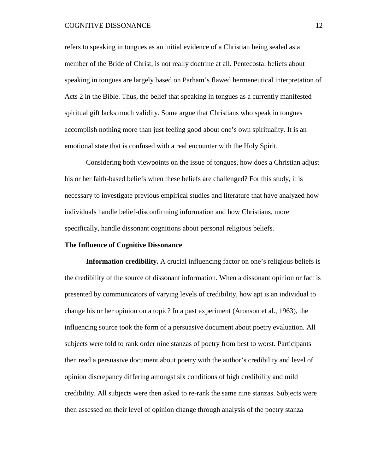refers to speaking in tongues as an initial evidence of a Christian being sealed as a member of the Bride of Christ, is not really doctrine at all. Pentecostal beliefs about speaking in tongues are largely based on Parham's flawed hermeneutical interpretation of Acts 2 in the Bible. Thus, the belief that speaking in tongues as a currently manifested spiritual gift lacks much validity. Some argue that Christians who speak in tongues accomplish nothing more than just feeling good about one's own spirituality. It is an emotional state that is confused with a real encounter with the Holy Spirit.

Considering both viewpoints on the issue of tongues, how does a Christian adjust his or her faith-based beliefs when these beliefs are challenged? For this study, it is necessary to investigate previous empirical studies and literature that have analyzed how individuals handle belief-disconfirming information and how Christians, more specifically, handle dissonant cognitions about personal religious beliefs.

#### **The Influence of Cognitive Dissonance**

**Information credibility.** A crucial influencing factor on one's religious beliefs is the credibility of the source of dissonant information. When a dissonant opinion or fact is presented by communicators of varying levels of credibility, how apt is an individual to change his or her opinion on a topic? In a past experiment (Aronson et al., 1963), the influencing source took the form of a persuasive document about poetry evaluation. All subjects were told to rank order nine stanzas of poetry from best to worst. Participants then read a persuasive document about poetry with the author's credibility and level of opinion discrepancy differing amongst six conditions of high credibility and mild credibility. All subjects were then asked to re-rank the same nine stanzas. Subjects were then assessed on their level of opinion change through analysis of the poetry stanza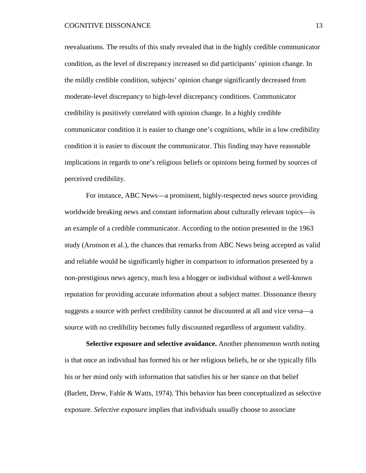reevaluations. The results of this study revealed that in the highly credible communicator condition, as the level of discrepancy increased so did participants' opinion change. In the mildly credible condition, subjects' opinion change significantly decreased from moderate-level discrepancy to high-level discrepancy conditions. Communicator credibility is positively correlated with opinion change. In a highly credible communicator condition it is easier to change one's cognitions, while in a low credibility condition it is easier to discount the communicator. This finding may have reasonable implications in regards to one's religious beliefs or opinions being formed by sources of perceived credibility.

For instance, ABC News—a prominent, highly-respected news source providing worldwide breaking news and constant information about culturally relevant topics—is an example of a credible communicator. According to the notion presented in the 1963 study (Aronson et al.), the chances that remarks from ABC News being accepted as valid and reliable would be significantly higher in comparison to information presented by a non-prestigious news agency, much less a blogger or individual without a well-known reputation for providing accurate information about a subject matter. Dissonance theory suggests a source with perfect credibility cannot be discounted at all and vice versa—a source with no credibility becomes fully discounted regardless of argument validity.

**Selective exposure and selective avoidance.** Another phenomenon worth noting is that once an individual has formed his or her religious beliefs, he or she typically fills his or her mind only with information that satisfies his or her stance on that belief (Barlett, Drew, Fahle & Watts, 1974). This behavior has been conceptualized as selective exposure. *Selective exposure* implies that individuals usually choose to associate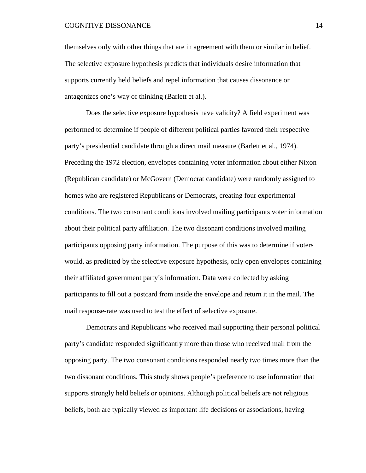themselves only with other things that are in agreement with them or similar in belief. The selective exposure hypothesis predicts that individuals desire information that supports currently held beliefs and repel information that causes dissonance or antagonizes one's way of thinking (Barlett et al.).

Does the selective exposure hypothesis have validity? A field experiment was performed to determine if people of different political parties favored their respective party's presidential candidate through a direct mail measure (Barlett et al., 1974). Preceding the 1972 election, envelopes containing voter information about either Nixon (Republican candidate) or McGovern (Democrat candidate) were randomly assigned to homes who are registered Republicans or Democrats, creating four experimental conditions. The two consonant conditions involved mailing participants voter information about their political party affiliation. The two dissonant conditions involved mailing participants opposing party information. The purpose of this was to determine if voters would, as predicted by the selective exposure hypothesis, only open envelopes containing their affiliated government party's information. Data were collected by asking participants to fill out a postcard from inside the envelope and return it in the mail. The mail response-rate was used to test the effect of selective exposure.

Democrats and Republicans who received mail supporting their personal political party's candidate responded significantly more than those who received mail from the opposing party. The two consonant conditions responded nearly two times more than the two dissonant conditions. This study shows people's preference to use information that supports strongly held beliefs or opinions. Although political beliefs are not religious beliefs, both are typically viewed as important life decisions or associations, having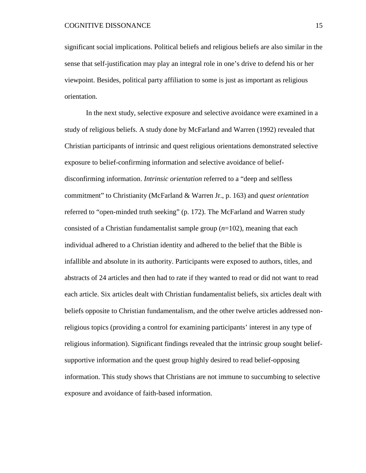significant social implications. Political beliefs and religious beliefs are also similar in the sense that self-justification may play an integral role in one's drive to defend his or her viewpoint. Besides, political party affiliation to some is just as important as religious orientation.

In the next study, selective exposure and selective avoidance were examined in a study of religious beliefs. A study done by McFarland and Warren (1992) revealed that Christian participants of intrinsic and quest religious orientations demonstrated selective exposure to belief-confirming information and selective avoidance of beliefdisconfirming information. *Intrinsic orientation* referred to a "deep and selfless commitment" to Christianity (McFarland & Warren Jr., p. 163) and *quest orientation* referred to "open-minded truth seeking" (p. 172). The McFarland and Warren study consisted of a Christian fundamentalist sample group (*n*=102), meaning that each individual adhered to a Christian identity and adhered to the belief that the Bible is infallible and absolute in its authority. Participants were exposed to authors, titles, and abstracts of 24 articles and then had to rate if they wanted to read or did not want to read each article. Six articles dealt with Christian fundamentalist beliefs, six articles dealt with beliefs opposite to Christian fundamentalism, and the other twelve articles addressed nonreligious topics (providing a control for examining participants' interest in any type of religious information). Significant findings revealed that the intrinsic group sought beliefsupportive information and the quest group highly desired to read belief-opposing information. This study shows that Christians are not immune to succumbing to selective exposure and avoidance of faith-based information.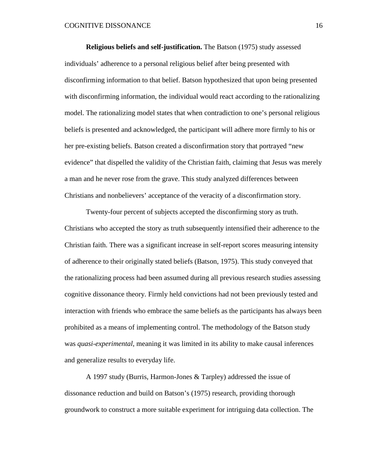**Religious beliefs and self-justification.** The Batson (1975) study assessed individuals' adherence to a personal religious belief after being presented with disconfirming information to that belief. Batson hypothesized that upon being presented with disconfirming information, the individual would react according to the rationalizing model. The rationalizing model states that when contradiction to one's personal religious beliefs is presented and acknowledged, the participant will adhere more firmly to his or her pre-existing beliefs. Batson created a disconfirmation story that portrayed "new evidence" that dispelled the validity of the Christian faith, claiming that Jesus was merely a man and he never rose from the grave. This study analyzed differences between Christians and nonbelievers' acceptance of the veracity of a disconfirmation story.

Twenty-four percent of subjects accepted the disconfirming story as truth. Christians who accepted the story as truth subsequently intensified their adherence to the Christian faith. There was a significant increase in self-report scores measuring intensity of adherence to their originally stated beliefs (Batson, 1975). This study conveyed that the rationalizing process had been assumed during all previous research studies assessing cognitive dissonance theory. Firmly held convictions had not been previously tested and interaction with friends who embrace the same beliefs as the participants has always been prohibited as a means of implementing control. The methodology of the Batson study was *quasi-experimental*, meaning it was limited in its ability to make causal inferences and generalize results to everyday life.

A 1997 study (Burris, Harmon-Jones & Tarpley) addressed the issue of dissonance reduction and build on Batson's (1975) research, providing thorough groundwork to construct a more suitable experiment for intriguing data collection. The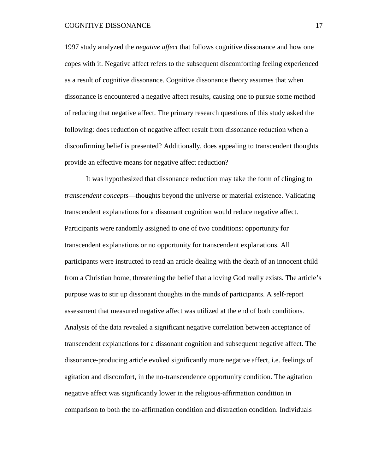1997 study analyzed the *negative affect* that follows cognitive dissonance and how one copes with it. Negative affect refers to the subsequent discomforting feeling experienced as a result of cognitive dissonance. Cognitive dissonance theory assumes that when dissonance is encountered a negative affect results, causing one to pursue some method of reducing that negative affect. The primary research questions of this study asked the following: does reduction of negative affect result from dissonance reduction when a disconfirming belief is presented? Additionally, does appealing to transcendent thoughts provide an effective means for negative affect reduction?

It was hypothesized that dissonance reduction may take the form of clinging to *transcendent concepts*—thoughts beyond the universe or material existence. Validating transcendent explanations for a dissonant cognition would reduce negative affect. Participants were randomly assigned to one of two conditions: opportunity for transcendent explanations or no opportunity for transcendent explanations. All participants were instructed to read an article dealing with the death of an innocent child from a Christian home, threatening the belief that a loving God really exists. The article's purpose was to stir up dissonant thoughts in the minds of participants. A self-report assessment that measured negative affect was utilized at the end of both conditions. Analysis of the data revealed a significant negative correlation between acceptance of transcendent explanations for a dissonant cognition and subsequent negative affect. The dissonance-producing article evoked significantly more negative affect, i.e. feelings of agitation and discomfort, in the no-transcendence opportunity condition. The agitation negative affect was significantly lower in the religious-affirmation condition in comparison to both the no-affirmation condition and distraction condition. Individuals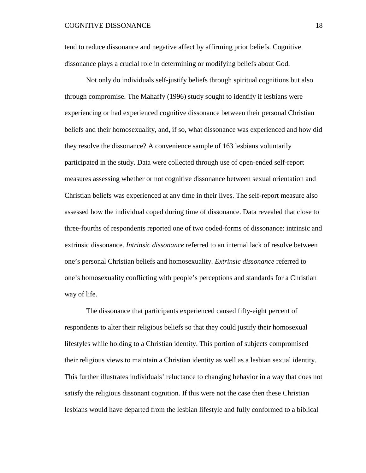tend to reduce dissonance and negative affect by affirming prior beliefs. Cognitive dissonance plays a crucial role in determining or modifying beliefs about God.

Not only do individuals self-justify beliefs through spiritual cognitions but also through compromise. The Mahaffy (1996) study sought to identify if lesbians were experiencing or had experienced cognitive dissonance between their personal Christian beliefs and their homosexuality, and, if so, what dissonance was experienced and how did they resolve the dissonance? A convenience sample of 163 lesbians voluntarily participated in the study. Data were collected through use of open-ended self-report measures assessing whether or not cognitive dissonance between sexual orientation and Christian beliefs was experienced at any time in their lives. The self-report measure also assessed how the individual coped during time of dissonance. Data revealed that close to three-fourths of respondents reported one of two coded-forms of dissonance: intrinsic and extrinsic dissonance. *Intrinsic dissonance* referred to an internal lack of resolve between one's personal Christian beliefs and homosexuality. *Extrinsic dissonance* referred to one's homosexuality conflicting with people's perceptions and standards for a Christian way of life.

The dissonance that participants experienced caused fifty-eight percent of respondents to alter their religious beliefs so that they could justify their homosexual lifestyles while holding to a Christian identity. This portion of subjects compromised their religious views to maintain a Christian identity as well as a lesbian sexual identity. This further illustrates individuals' reluctance to changing behavior in a way that does not satisfy the religious dissonant cognition. If this were not the case then these Christian lesbians would have departed from the lesbian lifestyle and fully conformed to a biblical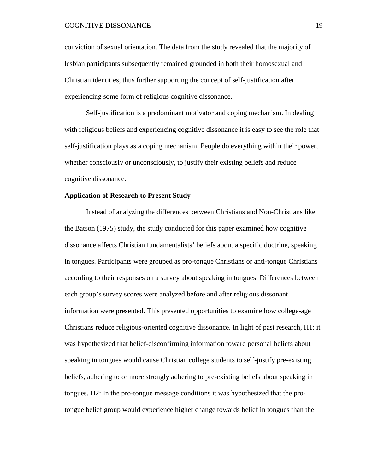conviction of sexual orientation. The data from the study revealed that the majority of lesbian participants subsequently remained grounded in both their homosexual and Christian identities, thus further supporting the concept of self-justification after experiencing some form of religious cognitive dissonance.

Self-justification is a predominant motivator and coping mechanism. In dealing with religious beliefs and experiencing cognitive dissonance it is easy to see the role that self-justification plays as a coping mechanism. People do everything within their power, whether consciously or unconsciously, to justify their existing beliefs and reduce cognitive dissonance.

#### **Application of Research to Present Study**

Instead of analyzing the differences between Christians and Non-Christians like the Batson (1975) study, the study conducted for this paper examined how cognitive dissonance affects Christian fundamentalists' beliefs about a specific doctrine, speaking in tongues. Participants were grouped as pro-tongue Christians or anti-tongue Christians according to their responses on a survey about speaking in tongues. Differences between each group's survey scores were analyzed before and after religious dissonant information were presented. This presented opportunities to examine how college-age Christians reduce religious-oriented cognitive dissonance. In light of past research, H1: it was hypothesized that belief-disconfirming information toward personal beliefs about speaking in tongues would cause Christian college students to self-justify pre-existing beliefs, adhering to or more strongly adhering to pre-existing beliefs about speaking in tongues. H2: In the pro-tongue message conditions it was hypothesized that the protongue belief group would experience higher change towards belief in tongues than the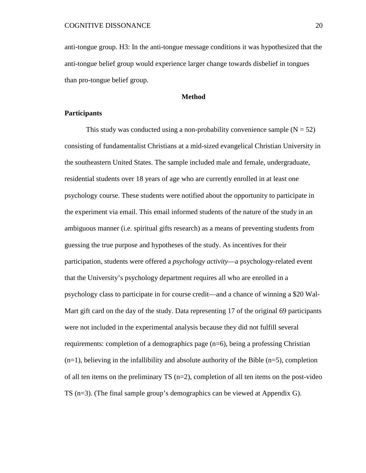anti-tongue group. H3: In the anti-tongue message conditions it was hypothesized that the anti-tongue belief group would experience larger change towards disbelief in tongues than pro-tongue belief group.

#### **Method**

#### **Participants**

This study was conducted using a non-probability convenience sample  $(N = 52)$ consisting of fundamentalist Christians at a mid-sized evangelical Christian University in the southeastern United States. The sample included male and female, undergraduate, residential students over 18 years of age who are currently enrolled in at least one psychology course. These students were notified about the opportunity to participate in the experiment via email. This email informed students of the nature of the study in an ambiguous manner (i.e. spiritual gifts research) as a means of preventing students from guessing the true purpose and hypotheses of the study. As incentives for their participation, students were offered a *psychology activity*—a psychology-related event that the University's psychology department requires all who are enrolled in a psychology class to participate in for course credit—and a chance of winning a \$20 Wal-Mart gift card on the day of the study. Data representing 17 of the original 69 participants were not included in the experimental analysis because they did not fulfill several requirements: completion of a demographics page (n=6), being a professing Christian  $(n=1)$ , believing in the infallibility and absolute authority of the Bible  $(n=5)$ , completion of all ten items on the preliminary TS  $(n=2)$ , completion of all ten items on the post-video TS (n=3). (The final sample group's demographics can be viewed at Appendix G).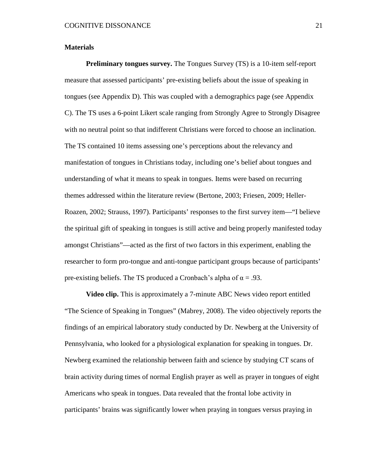#### **Materials**

**Preliminary tongues survey.** The Tongues Survey (TS) is a 10-item self-report measure that assessed participants' pre-existing beliefs about the issue of speaking in tongues (see Appendix D). This was coupled with a demographics page (see Appendix C). The TS uses a 6-point Likert scale ranging from Strongly Agree to Strongly Disagree with no neutral point so that indifferent Christians were forced to choose an inclination. The TS contained 10 items assessing one's perceptions about the relevancy and manifestation of tongues in Christians today, including one's belief about tongues and understanding of what it means to speak in tongues. Items were based on recurring themes addressed within the literature review (Bertone, 2003; Friesen, 2009; Heller-Roazen, 2002; Strauss, 1997). Participants' responses to the first survey item—"I believe the spiritual gift of speaking in tongues is still active and being properly manifested today amongst Christians"—acted as the first of two factors in this experiment, enabling the researcher to form pro-tongue and anti-tongue participant groups because of participants' pre-existing beliefs. The TS produced a Cronbach's alpha of  $\alpha = .93$ .

**Video clip.** This is approximately a 7-minute ABC News video report entitled "The Science of Speaking in Tongues" (Mabrey, 2008). The video objectively reports the findings of an empirical laboratory study conducted by Dr. Newberg at the University of Pennsylvania, who looked for a physiological explanation for speaking in tongues. Dr. Newberg examined the relationship between faith and science by studying CT scans of brain activity during times of normal English prayer as well as prayer in tongues of eight Americans who speak in tongues. Data revealed that the frontal lobe activity in participants' brains was significantly lower when praying in tongues versus praying in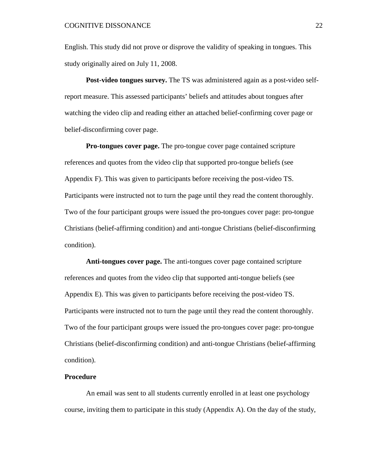English. This study did not prove or disprove the validity of speaking in tongues. This study originally aired on July 11, 2008.

**Post-video tongues survey.** The TS was administered again as a post-video selfreport measure. This assessed participants' beliefs and attitudes about tongues after watching the video clip and reading either an attached belief-confirming cover page or belief-disconfirming cover page.

**Pro-tongues cover page.** The pro-tongue cover page contained scripture references and quotes from the video clip that supported pro-tongue beliefs (see Appendix F). This was given to participants before receiving the post-video TS. Participants were instructed not to turn the page until they read the content thoroughly. Two of the four participant groups were issued the pro-tongues cover page: pro-tongue Christians (belief-affirming condition) and anti-tongue Christians (belief-disconfirming condition).

**Anti-tongues cover page.** The anti-tongues cover page contained scripture references and quotes from the video clip that supported anti-tongue beliefs (see Appendix E). This was given to participants before receiving the post-video TS. Participants were instructed not to turn the page until they read the content thoroughly. Two of the four participant groups were issued the pro-tongues cover page: pro-tongue Christians (belief-disconfirming condition) and anti-tongue Christians (belief-affirming condition).

#### **Procedure**

An email was sent to all students currently enrolled in at least one psychology course, inviting them to participate in this study (Appendix A). On the day of the study,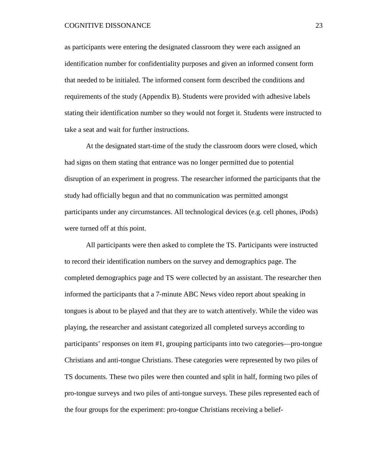as participants were entering the designated classroom they were each assigned an identification number for confidentiality purposes and given an informed consent form that needed to be initialed. The informed consent form described the conditions and requirements of the study (Appendix B). Students were provided with adhesive labels stating their identification number so they would not forget it. Students were instructed to take a seat and wait for further instructions.

At the designated start-time of the study the classroom doors were closed, which had signs on them stating that entrance was no longer permitted due to potential disruption of an experiment in progress. The researcher informed the participants that the study had officially begun and that no communication was permitted amongst participants under any circumstances. All technological devices (e.g. cell phones, iPods) were turned off at this point.

All participants were then asked to complete the TS. Participants were instructed to record their identification numbers on the survey and demographics page. The completed demographics page and TS were collected by an assistant. The researcher then informed the participants that a 7-minute ABC News video report about speaking in tongues is about to be played and that they are to watch attentively. While the video was playing, the researcher and assistant categorized all completed surveys according to participants' responses on item #1, grouping participants into two categories—pro-tongue Christians and anti-tongue Christians. These categories were represented by two piles of TS documents. These two piles were then counted and split in half, forming two piles of pro-tongue surveys and two piles of anti-tongue surveys. These piles represented each of the four groups for the experiment: pro-tongue Christians receiving a belief-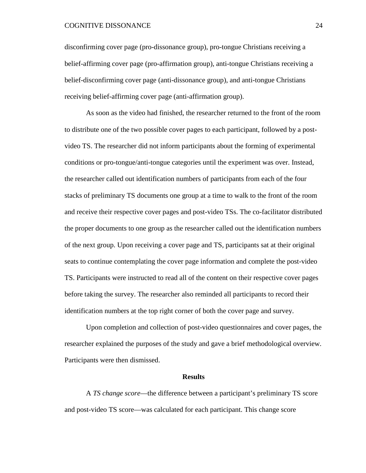disconfirming cover page (pro-dissonance group), pro-tongue Christians receiving a belief-affirming cover page (pro-affirmation group), anti-tongue Christians receiving a belief-disconfirming cover page (anti-dissonance group), and anti-tongue Christians receiving belief-affirming cover page (anti-affirmation group).

As soon as the video had finished, the researcher returned to the front of the room to distribute one of the two possible cover pages to each participant, followed by a postvideo TS. The researcher did not inform participants about the forming of experimental conditions or pro-tongue/anti-tongue categories until the experiment was over. Instead, the researcher called out identification numbers of participants from each of the four stacks of preliminary TS documents one group at a time to walk to the front of the room and receive their respective cover pages and post-video TSs. The co-facilitator distributed the proper documents to one group as the researcher called out the identification numbers of the next group. Upon receiving a cover page and TS, participants sat at their original seats to continue contemplating the cover page information and complete the post-video TS. Participants were instructed to read all of the content on their respective cover pages before taking the survey. The researcher also reminded all participants to record their identification numbers at the top right corner of both the cover page and survey.

Upon completion and collection of post-video questionnaires and cover pages, the researcher explained the purposes of the study and gave a brief methodological overview. Participants were then dismissed.

#### **Results**

A *TS change score*—the difference between a participant's preliminary TS score and post-video TS score—was calculated for each participant. This change score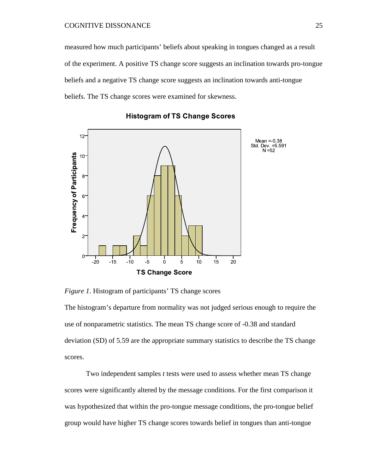measured how much participants' beliefs about speaking in tongues changed as a result of the experiment. A positive TS change score suggests an inclination towards pro-tongue beliefs and a negative TS change score suggests an inclination towards anti-tongue beliefs. The TS change scores were examined for skewness.



**Histogram of TS Change Scores** 

*Figure 1*. Histogram of participants' TS change scores

The histogram's departure from normality was not judged serious enough to require the use of nonparametric statistics. The mean TS change score of -0.38 and standard deviation (SD) of 5.59 are the appropriate summary statistics to describe the TS change scores.

Two independent samples *t* tests were used to assess whether mean TS change scores were significantly altered by the message conditions. For the first comparison it was hypothesized that within the pro-tongue message conditions, the pro-tongue belief group would have higher TS change scores towards belief in tongues than anti-tongue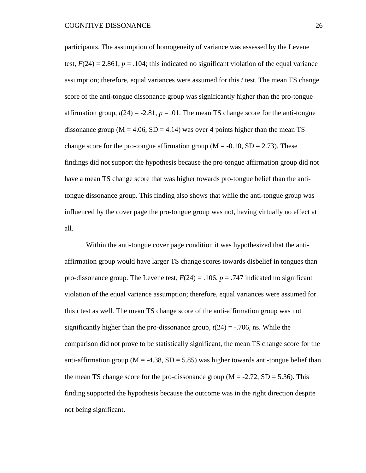participants. The assumption of homogeneity of variance was assessed by the Levene test,  $F(24) = 2.861$ ,  $p = .104$ ; this indicated no significant violation of the equal variance assumption; therefore, equal variances were assumed for this *t* test. The mean TS change score of the anti-tongue dissonance group was significantly higher than the pro-tongue affirmation group,  $t(24) = -2.81$ ,  $p = .01$ . The mean TS change score for the anti-tongue dissonance group ( $M = 4.06$ ,  $SD = 4.14$ ) was over 4 points higher than the mean TS change score for the pro-tongue affirmation group ( $M = -0.10$ ,  $SD = 2.73$ ). These findings did not support the hypothesis because the pro-tongue affirmation group did not have a mean TS change score that was higher towards pro-tongue belief than the antitongue dissonance group. This finding also shows that while the anti-tongue group was influenced by the cover page the pro-tongue group was not, having virtually no effect at all.

Within the anti-tongue cover page condition it was hypothesized that the antiaffirmation group would have larger TS change scores towards disbelief in tongues than pro-dissonance group. The Levene test,  $F(24) = .106$ ,  $p = .747$  indicated no significant violation of the equal variance assumption; therefore, equal variances were assumed for this *t* test as well. The mean TS change score of the anti-affirmation group was not significantly higher than the pro-dissonance group,  $t(24) = -0.706$ , ns. While the comparison did not prove to be statistically significant, the mean TS change score for the anti-affirmation group ( $M = -4.38$ ,  $SD = 5.85$ ) was higher towards anti-tongue belief than the mean TS change score for the pro-dissonance group  $(M = -2.72, SD = 5.36)$ . This finding supported the hypothesis because the outcome was in the right direction despite not being significant.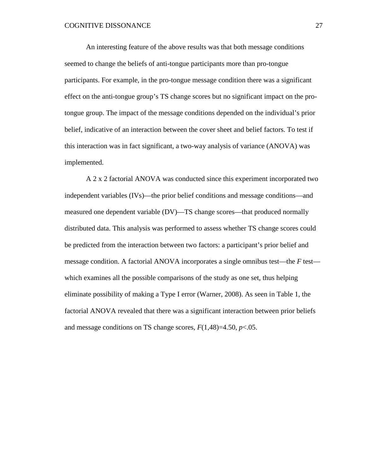An interesting feature of the above results was that both message conditions seemed to change the beliefs of anti-tongue participants more than pro-tongue participants. For example, in the pro-tongue message condition there was a significant effect on the anti-tongue group's TS change scores but no significant impact on the protongue group. The impact of the message conditions depended on the individual's prior belief, indicative of an interaction between the cover sheet and belief factors. To test if this interaction was in fact significant, a two-way analysis of variance (ANOVA) was implemented.

A 2 x 2 factorial ANOVA was conducted since this experiment incorporated two independent variables (IVs)—the prior belief conditions and message conditions—and measured one dependent variable (DV)—TS change scores—that produced normally distributed data. This analysis was performed to assess whether TS change scores could be predicted from the interaction between two factors: a participant's prior belief and message condition. A factorial ANOVA incorporates a single omnibus test—the *F* test which examines all the possible comparisons of the study as one set, thus helping eliminate possibility of making a Type I error (Warner, 2008). As seen in Table 1, the factorial ANOVA revealed that there was a significant interaction between prior beliefs and message conditions on TS change scores, *F*(1,48)=4.50, *p*<.05.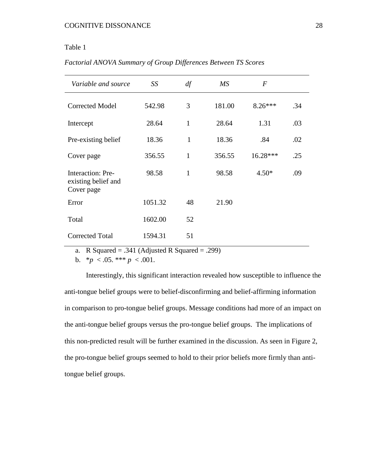### Table 1

| Variable and source                                           | SS      | df           | $\overline{MS}$ | $\boldsymbol{F}$ |     |
|---------------------------------------------------------------|---------|--------------|-----------------|------------------|-----|
| <b>Corrected Model</b>                                        | 542.98  | 3            | 181.00          | $8.26***$        | .34 |
| Intercept                                                     | 28.64   | $\mathbf{1}$ | 28.64           | 1.31             | .03 |
| Pre-existing belief                                           | 18.36   | $\mathbf{1}$ | 18.36           | .84              | .02 |
| Cover page                                                    | 356.55  | 1            | 356.55          | 16.28***         | .25 |
| <b>Interaction: Pre-</b><br>existing belief and<br>Cover page | 98.58   | $\mathbf{1}$ | 98.58           | $4.50*$          | .09 |
| Error                                                         | 1051.32 | 48           | 21.90           |                  |     |
| Total                                                         | 1602.00 | 52           |                 |                  |     |
| <b>Corrected Total</b>                                        | 1594.31 | 51           |                 |                  |     |

*Factorial ANOVA Summary of Group Differences Between TS Scores*

a. R Squared = .341 (Adjusted R Squared = .299)

b.  $*_{p}$  < .05.  $*** p$  < .001.

Interestingly, this significant interaction revealed how susceptible to influence the anti-tongue belief groups were to belief-disconfirming and belief-affirming information in comparison to pro-tongue belief groups. Message conditions had more of an impact on the anti-tongue belief groups versus the pro-tongue belief groups. The implications of this non-predicted result will be further examined in the discussion. As seen in Figure 2, the pro-tongue belief groups seemed to hold to their prior beliefs more firmly than antitongue belief groups.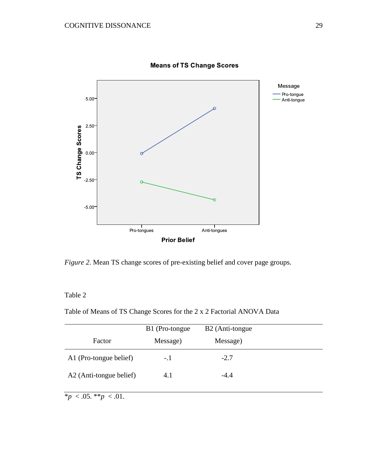

**Means of TS Change Scores** 

*Figure 2*. Mean TS change scores of pre-existing belief and cover page groups.

# Table 2

Table of Means of TS Change Scores for the 2 x 2 Factorial ANOVA Data

|                         | B1 (Pro-tongue) | B2 (Anti-tongue) |  |
|-------------------------|-----------------|------------------|--|
| Factor                  | Message)        | Message)         |  |
| A1 (Pro-tongue belief)  | -.1             | $-2.7$           |  |
| A2 (Anti-tongue belief) | 4.1             | $-4.4$           |  |
|                         |                 |                  |  |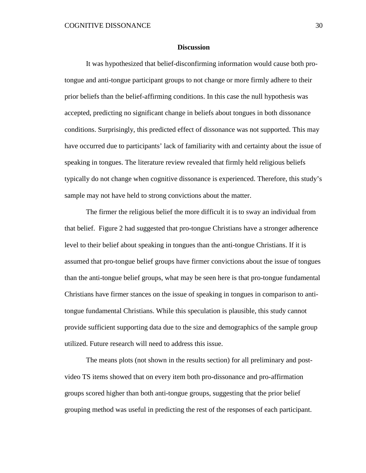#### **Discussion**

It was hypothesized that belief-disconfirming information would cause both protongue and anti-tongue participant groups to not change or more firmly adhere to their prior beliefs than the belief-affirming conditions. In this case the null hypothesis was accepted, predicting no significant change in beliefs about tongues in both dissonance conditions. Surprisingly, this predicted effect of dissonance was not supported. This may have occurred due to participants' lack of familiarity with and certainty about the issue of speaking in tongues. The literature review revealed that firmly held religious beliefs typically do not change when cognitive dissonance is experienced. Therefore, this study's sample may not have held to strong convictions about the matter.

The firmer the religious belief the more difficult it is to sway an individual from that belief. Figure 2 had suggested that pro-tongue Christians have a stronger adherence level to their belief about speaking in tongues than the anti-tongue Christians. If it is assumed that pro-tongue belief groups have firmer convictions about the issue of tongues than the anti-tongue belief groups, what may be seen here is that pro-tongue fundamental Christians have firmer stances on the issue of speaking in tongues in comparison to antitongue fundamental Christians. While this speculation is plausible, this study cannot provide sufficient supporting data due to the size and demographics of the sample group utilized. Future research will need to address this issue.

The means plots (not shown in the results section) for all preliminary and postvideo TS items showed that on every item both pro-dissonance and pro-affirmation groups scored higher than both anti-tongue groups, suggesting that the prior belief grouping method was useful in predicting the rest of the responses of each participant.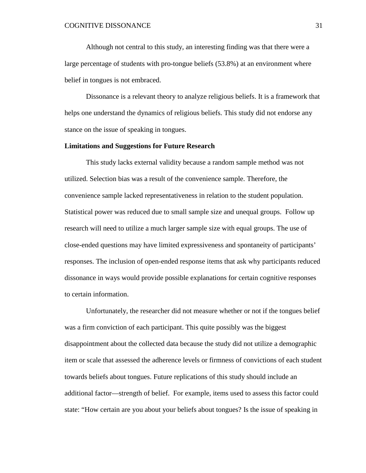Although not central to this study, an interesting finding was that there were a large percentage of students with pro-tongue beliefs (53.8%) at an environment where belief in tongues is not embraced.

Dissonance is a relevant theory to analyze religious beliefs. It is a framework that helps one understand the dynamics of religious beliefs. This study did not endorse any stance on the issue of speaking in tongues.

#### **Limitations and Suggestions for Future Research**

This study lacks external validity because a random sample method was not utilized. Selection bias was a result of the convenience sample. Therefore, the convenience sample lacked representativeness in relation to the student population. Statistical power was reduced due to small sample size and unequal groups. Follow up research will need to utilize a much larger sample size with equal groups. The use of close-ended questions may have limited expressiveness and spontaneity of participants' responses. The inclusion of open-ended response items that ask why participants reduced dissonance in ways would provide possible explanations for certain cognitive responses to certain information.

Unfortunately, the researcher did not measure whether or not if the tongues belief was a firm conviction of each participant. This quite possibly was the biggest disappointment about the collected data because the study did not utilize a demographic item or scale that assessed the adherence levels or firmness of convictions of each student towards beliefs about tongues. Future replications of this study should include an additional factor—strength of belief. For example, items used to assess this factor could state: "How certain are you about your beliefs about tongues? Is the issue of speaking in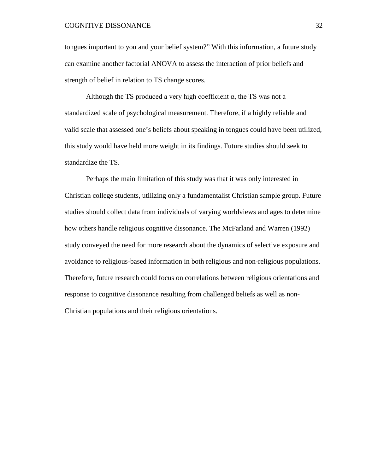tongues important to you and your belief system?" With this information, a future study can examine another factorial ANOVA to assess the interaction of prior beliefs and strength of belief in relation to TS change scores.

Although the TS produced a very high coefficient  $\alpha$ , the TS was not a standardized scale of psychological measurement. Therefore, if a highly reliable and valid scale that assessed one's beliefs about speaking in tongues could have been utilized, this study would have held more weight in its findings. Future studies should seek to standardize the TS.

Perhaps the main limitation of this study was that it was only interested in Christian college students, utilizing only a fundamentalist Christian sample group. Future studies should collect data from individuals of varying worldviews and ages to determine how others handle religious cognitive dissonance. The McFarland and Warren (1992) study conveyed the need for more research about the dynamics of selective exposure and avoidance to religious-based information in both religious and non-religious populations. Therefore, future research could focus on correlations between religious orientations and response to cognitive dissonance resulting from challenged beliefs as well as non-Christian populations and their religious orientations.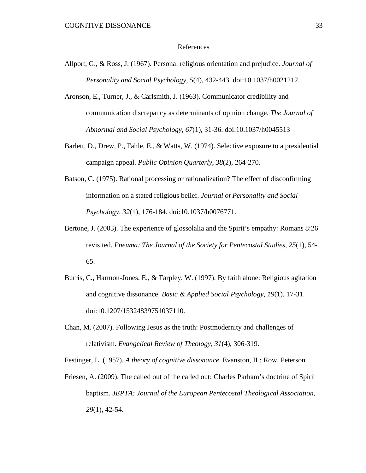#### References

- Allport, G., & Ross, J. (1967). Personal religious orientation and prejudice. *Journal of Personality and Social Psychology*, *5*(4), 432-443. doi:10.1037/h0021212.
- Aronson, E., Turner, J., & Carlsmith, J. (1963). Communicator credibility and communication discrepancy as determinants of opinion change. *The Journal of Abnormal and Social Psychology*, *67*(1), 31-36. doi:10.1037/h0045513
- Barlett, D., Drew, P., Fahle, E., & Watts, W. (1974). Selective exposure to a presidential campaign appeal. *Public Opinion Quarterly*, *38*(2), 264-270.
- Batson, C. (1975). Rational processing or rationalization? The effect of disconfirming information on a stated religious belief. *Journal of Personality and Social Psychology*, *32*(1), 176-184. doi:10.1037/h0076771.
- Bertone, J. (2003). The experience of glossolalia and the Spirit's empathy: Romans 8:26 revisited. *Pneuma: The Journal of the Society for Pentecostal Studies*, *25*(1), 54- 65.
- Burris, C., Harmon-Jones, E., & Tarpley, W. (1997). By faith alone: Religious agitation and cognitive dissonance. *Basic & Applied Social Psychology*, *19*(1), 17-31. doi:10.1207/15324839751037110.
- Chan, M. (2007). Following Jesus as the truth: Postmodernity and challenges of relativism. *Evangelical Review of Theology*, *31*(4), 306-319.

Festinger, L. (1957). *A theory of cognitive dissonance*. Evanston, IL: Row, Peterson.

Friesen, A. (2009). The called out of the called out: Charles Parham's doctrine of Spirit baptism. *JEPTA: Journal of the European Pentecostal Theological Association*, *29*(1), 42-54.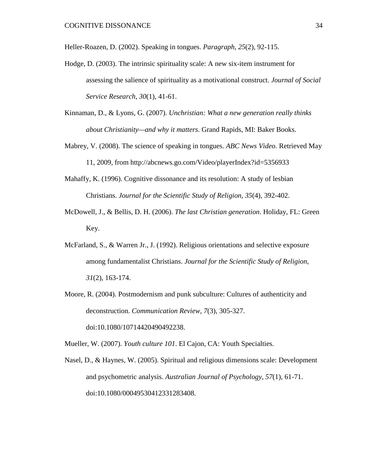Heller-Roazen, D. (2002). Speaking in tongues. *Paragraph*, *25*(2), 92-115.

- Hodge, D. (2003). The intrinsic spirituality scale: A new six-item instrument for assessing the salience of spirituality as a motivational construct. *Journal of Social Service Research*, *30*(1), 41-61.
- Kinnaman, D., & Lyons, G. (2007). *Unchristian: What a new generation really thinks about Christianity—and why it matters*. Grand Rapids, MI: Baker Books.
- Mabrey, V. (2008). The science of speaking in tongues. *ABC News Video*. Retrieved May 11, 2009, from http://abcnews.go.com/Video/playerIndex?id=5356933
- Mahaffy, K. (1996). Cognitive dissonance and its resolution: A study of lesbian Christians. *Journal for the Scientific Study of Religion*, *35*(4), 392-402.
- McDowell, J., & Bellis, D. H. (2006). *The last Christian generation*. Holiday, FL: Green Key.
- McFarland, S., & Warren Jr., J. (1992). Religious orientations and selective exposure among fundamentalist Christians. *Journal for the Scientific Study of Religion*, *31*(2), 163-174.
- Moore, R. (2004). Postmodernism and punk subculture: Cultures of authenticity and deconstruction. *Communication Review*, *7*(3), 305-327. doi:10.1080/10714420490492238.

Mueller, W. (2007). *Youth culture 101*. El Cajon, CA: Youth Specialties.

Nasel, D., & Haynes, W. (2005). Spiritual and religious dimensions scale: Development and psychometric analysis. *Australian Journal of Psychology*, *57*(1), 61-71. doi:10.1080/00049530412331283408.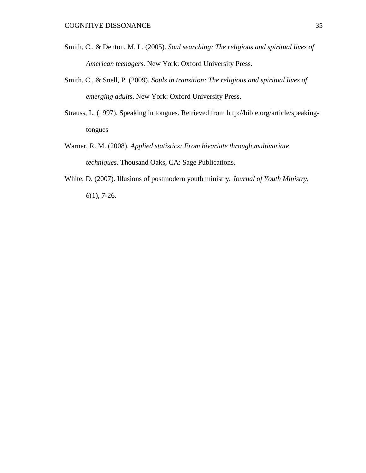- Smith, C., & Denton, M. L. (2005). *Soul searching: The religious and spiritual lives of American teenagers.* New York: Oxford University Press.
- Smith, C., & Snell, P. (2009). *Souls in transition: The religious and spiritual lives of emerging adults*. New York: Oxford University Press.
- Strauss, L. (1997). Speaking in tongues. Retrieved from http://bible.org/article/speakingtongues
- Warner, R. M. (2008). *Applied statistics: From bivariate through multivariate techniques.* Thousand Oaks, CA: Sage Publications.
- White, D. (2007). Illusions of postmodern youth ministry. *Journal of Youth Ministry*, *6*(1), 7-26.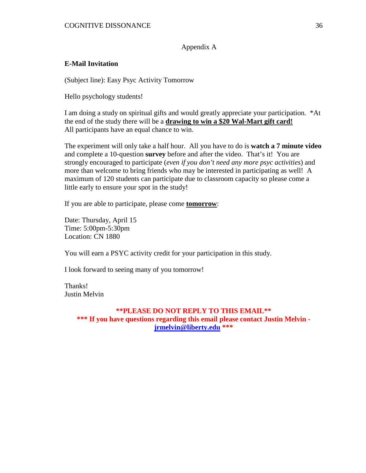Appendix A

# **E-Mail Invitation**

(Subject line): Easy Psyc Activity Tomorrow

Hello psychology students!

I am doing a study on spiritual gifts and would greatly appreciate your participation. \*At the end of the study there will be a **drawing to win a \$20 Wal-Mart gift card!** All participants have an equal chance to win.

The experiment will only take a half hour. All you have to do is **watch a 7 minute video** and complete a 10-question **survey** before and after the video. That's it! You are strongly encouraged to participate (*even if you don't need any more psyc activities*) and more than welcome to bring friends who may be interested in participating as well! A maximum of 120 students can participate due to classroom capacity so please come a little early to ensure your spot in the study!

If you are able to participate, please come **tomorrow**:

Date: Thursday, April 15 Time: 5:00pm-5:30pm Location: CN 1880

You will earn a PSYC activity credit for your participation in this study.

I look forward to seeing many of you tomorrow!

Thanks! Justin Melvin

#### **\*\*PLEASE DO NOT REPLY TO THIS EMAIL\*\***

**\*\*\* If you have questions regarding this email please contact Justin Melvin [jrmelvin@liberty.edu](https://webmail.liberty.edu/owa/redir.aspx?C=463c75e002c847908009986f3b564d48&URL=mailto%3ajrmelvin%40liberty.edu) \*\*\***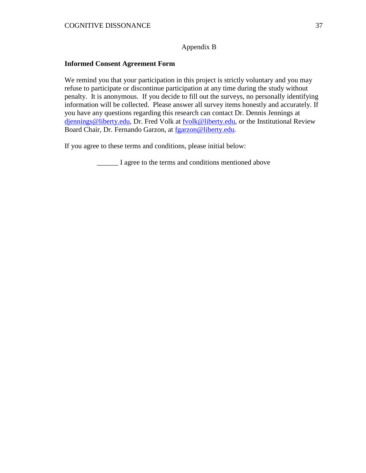# Appendix B

# **Informed Consent Agreement Form**

We remind you that your participation in this project is strictly voluntary and you may refuse to participate or discontinue participation at any time during the study without penalty. It is anonymous. If you decide to fill out the surveys, no personally identifying information will be collected. Please answer all survey items honestly and accurately. If you have any questions regarding this research can contact Dr. Dennis Jennings at [djennings@liberty.edu,](mailto:djennings@liberty.edu) Dr. Fred Volk at [fvolk@liberty.edu,](mailto:fvolk@liberty.edu) or the Institutional Review Board Chair, Dr. Fernando Garzon, at [fgarzon@liberty.edu.](mailto:fgarzon@liberty.edu)

If you agree to these terms and conditions, please initial below:

\_\_\_\_\_\_ I agree to the terms and conditions mentioned above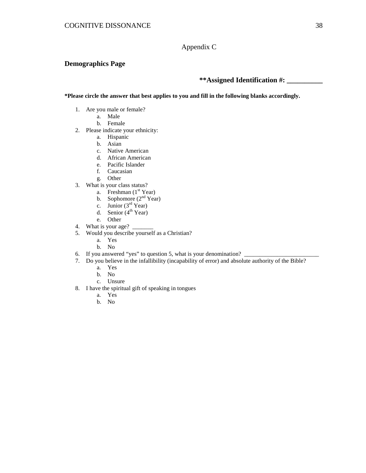Appendix C

#### **Demographics Page**

**\*\*Assigned Identification #: \_\_\_\_\_\_\_\_\_\_**

**\*Please circle the answer that best applies to you and fill in the following blanks accordingly.**

- 1. Are you male or female?
	- a. Male
		- b. Female
- 2. Please indicate your ethnicity:
	- a. Hispanic
	- b. Asian
	- c. Native American
	- d. African American
	- e. Pacific Islander
	- f. Caucasian
	- g. Other
- 3. What is your class status?
	- a. Freshman  $(1<sup>st</sup> Year)$
	- b. Sophomore  $(2<sup>nd</sup> Year)$
	- c. Junior  $(3<sup>rd</sup> Year)$
	- d. Senior  $(4<sup>th</sup> Year)$
	- e. Other
- 4. What is your age?  $\Box$
- 5. Would you describe yourself as a Christian?
	- a. Yes
	- b. No
- 6. If you answered "yes" to question 5, what is your denomination?
- 7. Do you believe in the infallibility (incapability of error) and absolute authority of the Bible?
	- a. Yes
	- b. No
	- c. Unsure
- 8. I have the spiritual gift of speaking in tongues
	- a. Yes
	- b. No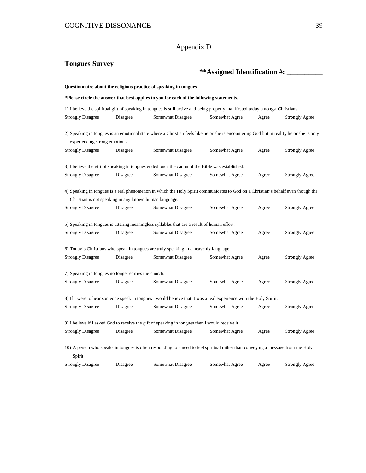# Appendix D

| <b>Tongues Survey</b>                                                                           |          |                                                                                                                                          |                |       |                       |  |
|-------------------------------------------------------------------------------------------------|----------|------------------------------------------------------------------------------------------------------------------------------------------|----------------|-------|-----------------------|--|
|                                                                                                 |          | ** Assigned Identification #:                                                                                                            |                |       |                       |  |
|                                                                                                 |          | Questionnaire about the religious practice of speaking in tongues                                                                        |                |       |                       |  |
|                                                                                                 |          | *Please circle the answer that best applies to you for each of the following statements.                                                 |                |       |                       |  |
|                                                                                                 |          | 1) I believe the spiritual gift of speaking in tongues is still active and being properly manifested today amongst Christians.           |                |       |                       |  |
| <b>Strongly Disagree</b>                                                                        | Disagree | Somewhat Disagree                                                                                                                        | Somewhat Agree | Agree | <b>Strongly Agree</b> |  |
|                                                                                                 |          | 2) Speaking in tongues is an emotional state where a Christian feels like he or she is encountering God but in reality he or she is only |                |       |                       |  |
| experiencing strong emotions.                                                                   |          |                                                                                                                                          |                |       |                       |  |
| <b>Strongly Disagree</b>                                                                        | Disagree | Somewhat Disagree                                                                                                                        | Somewhat Agree | Agree | <b>Strongly Agree</b> |  |
| 3) I believe the gift of speaking in tongues ended once the canon of the Bible was established. |          |                                                                                                                                          |                |       |                       |  |
| <b>Strongly Disagree</b>                                                                        | Disagree | Somewhat Disagree                                                                                                                        | Somewhat Agree | Agree | <b>Strongly Agree</b> |  |
| Christian is not speaking in any known human language.                                          |          | 4) Speaking in tongues is a real phenomenon in which the Holy Spirit communicates to God on a Christian's behalf even though the         |                |       |                       |  |
| <b>Strongly Disagree</b>                                                                        | Disagree | Somewhat Disagree                                                                                                                        | Somewhat Agree | Agree | <b>Strongly Agree</b> |  |
|                                                                                                 |          | 5) Speaking in tongues is uttering meaningless syllables that are a result of human effort.                                              |                |       |                       |  |
| <b>Strongly Disagree</b>                                                                        | Disagree | Somewhat Disagree                                                                                                                        | Somewhat Agree | Agree | <b>Strongly Agree</b> |  |
|                                                                                                 |          | 6) Today's Christians who speak in tongues are truly speaking in a heavenly language.                                                    |                |       |                       |  |
| <b>Strongly Disagree</b>                                                                        | Disagree | Somewhat Disagree                                                                                                                        | Somewhat Agree | Agree | <b>Strongly Agree</b> |  |
| 7) Speaking in tongues no longer edifies the church.                                            |          |                                                                                                                                          |                |       |                       |  |
| <b>Strongly Disagree</b>                                                                        | Disagree | Somewhat Disagree                                                                                                                        | Somewhat Agree | Agree | <b>Strongly Agree</b> |  |
|                                                                                                 |          | 8) If I were to hear someone speak in tongues I would believe that it was a real experience with the Holy Spirit.                        |                |       |                       |  |
| <b>Strongly Disagree</b>                                                                        | Disagree | Somewhat Disagree                                                                                                                        | Somewhat Agree | Agree | <b>Strongly Agree</b> |  |
|                                                                                                 |          | 9) I believe if I asked God to receive the gift of speaking in tongues then I would receive it.                                          |                |       |                       |  |
| <b>Strongly Disagree</b>                                                                        | Disagree | Somewhat Disagree                                                                                                                        | Somewhat Agree | Agree | <b>Strongly Agree</b> |  |
| Spirit.                                                                                         |          | 10) A person who speaks in tongues is often responding to a need to feel spiritual rather than conveying a message from the Holy         |                |       |                       |  |
| <b>Strongly Disagree</b>                                                                        | Disagree | Somewhat Disagree                                                                                                                        | Somewhat Agree | Agree | <b>Strongly Agree</b> |  |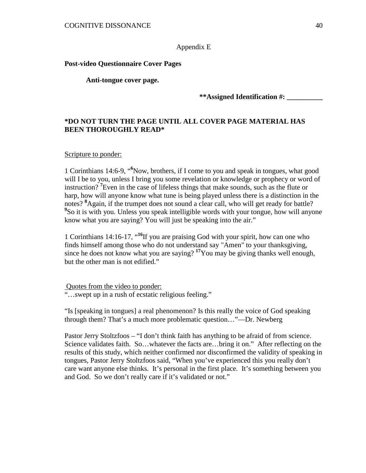# Appendix E

# **Post-video Questionnaire Cover Pages**

**Anti-tongue cover page.**

**\*\*Assigned Identification #: \_\_\_\_\_\_\_\_\_\_**

# **\*DO NOT TURN THE PAGE UNTIL ALL COVER PAGE MATERIAL HAS BEEN THOROUGHLY READ\***

#### Scripture to ponder:

1 Corinthians 14:6-9, "**<sup>6</sup>** Now, brothers, if I come to you and speak in tongues, what good will I be to you, unless I bring you some revelation or knowledge or prophecy or word of instruction? **<sup>7</sup>** Even in the case of lifeless things that make sounds, such as the flute or harp, how will anyone know what tune is being played unless there is a distinction in the notes? **<sup>8</sup>** Again, if the trumpet does not sound a clear call, who will get ready for battle? <sup>9</sup>So it is with you. Unless you speak intelligible words with your tongue, how will anyone know what you are saying? You will just be speaking into the air."

1 Corinthians 14:16-17, "**<sup>16</sup>**If you are praising God with your spirit, how can one who finds himself among those who do not understand say "Amen" to your thanksgiving, since he does not know what you are saying? **<sup>17</sup>**You may be giving thanks well enough, but the other man is not edified."

Quotes from the video to ponder:

"…swept up in a rush of ecstatic religious feeling."

"Is [speaking in tongues] a real phenomenon? Is this really the voice of God speaking through them? That's a much more problematic question…"—Dr. Newberg

Pastor Jerry Stoltzfoos – "I don't think faith has anything to be afraid of from science. Science validates faith. So...whatever the facts are...bring it on." After reflecting on the results of this study, which neither confirmed nor disconfirmed the validity of speaking in tongues, Pastor Jerry Stoltzfoos said, "When you've experienced this you really don't care want anyone else thinks. It's personal in the first place. It's something between you and God. So we don't really care if it's validated or not."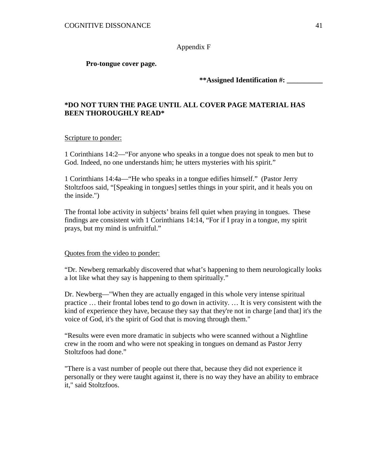Appendix F

### **Pro-tongue cover page.**

**\*\*Assigned Identification #: \_\_\_\_\_\_\_\_\_\_**

# **\*DO NOT TURN THE PAGE UNTIL ALL COVER PAGE MATERIAL HAS BEEN THOROUGHLY READ\***

### Scripture to ponder:

1 Corinthians 14:2—"For anyone who speaks in a tongue does not speak to men but to God. Indeed, no one understands him; he utters mysteries with his spirit."

1 Corinthians 14:4a—"He who speaks in a tongue edifies himself." (Pastor Jerry Stoltzfoos said, "[Speaking in tongues] settles things in your spirit, and it heals you on the inside.")

The frontal lobe activity in subjects' brains fell quiet when praying in tongues. These findings are consistent with 1 Corinthians 14:14, "For if I pray in a tongue, my spirit prays, but my mind is unfruitful."

### Quotes from the video to ponder:

"Dr. Newberg remarkably discovered that what's happening to them neurologically looks a lot like what they say is happening to them spiritually."

Dr. Newberg—"When they are actually engaged in this whole very intense spiritual practice … their frontal lobes tend to go down in activity. … It is very consistent with the kind of experience they have, because they say that they're not in charge [and that] it's the voice of God, it's the spirit of God that is moving through them."

"Results were even more dramatic in subjects who were scanned without a Nightline crew in the room and who were not speaking in tongues on demand as Pastor Jerry Stoltzfoos had done."

"There is a vast number of people out there that, because they did not experience it personally or they were taught against it, there is no way they have an ability to embrace it," said Stoltzfoos.